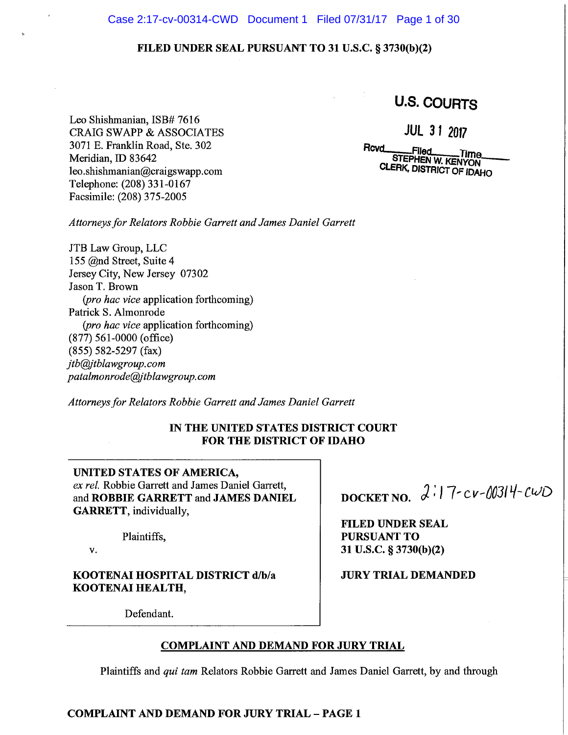## Case 2:17-cv-00314-CWD Document 1 Filed 07/31/17 Page 1 of 30

# FILED UNDER SEAL PURSUANT TO 31 U.S.C. § 3730(b)(2)

**U.S. COURTS** 

Leo Shishmanian, ISB# 7616 **CRAIG SWAPP & ASSOCIATES** 3071 E. Franklin Road, Ste. 302 Meridian, ID 83642 leo.shishmanian@craigswapp.com Telephone: (208) 331-0167 Facsimile: (208) 375-2005

**JUL 31 2017** 

Rovd .Filed STEPHEN W. KENYON CLERK, DISTRICT OF IDAHO

Attorneys for Relators Robbie Garrett and James Daniel Garrett

JTB Law Group, LLC 155 @nd Street, Suite 4 Jersey City, New Jersey 07302 Jason T. Brown (pro hac vice application forthcoming) Patrick S. Almonrode (pro hac vice application forthcoming)  $(877)$  561-0000 (office)  $(855)$  582-5297 (fax) jtb@jtblawgroup.com patalmonrode@jtblawgroup.com

Attorneys for Relators Robbie Garrett and James Daniel Garrett

# IN THE UNITED STATES DISTRICT COURT **FOR THE DISTRICT OF IDAHO**

# UNITED STATES OF AMERICA,

ex rel. Robbie Garrett and James Daniel Garrett, and ROBBIE GARRETT and JAMES DANIEL **GARRETT**, individually,

Plaintiffs,

#### ν.

# KOOTENAI HOSPITAL DISTRICT d/b/a KOOTENAI HEALTH,

DOCKET NO.  $2:17-cv-00314-cwD$ 

**FILED UNDER SEAL PURSUANT TO** 31 U.S.C. § 3730(b)(2)

**JURY TRIAL DEMANDED** 

Defendant.

# **COMPLAINT AND DEMAND FOR JURY TRIAL**

Plaintiffs and qui tam Relators Robbie Garrett and James Daniel Garrett, by and through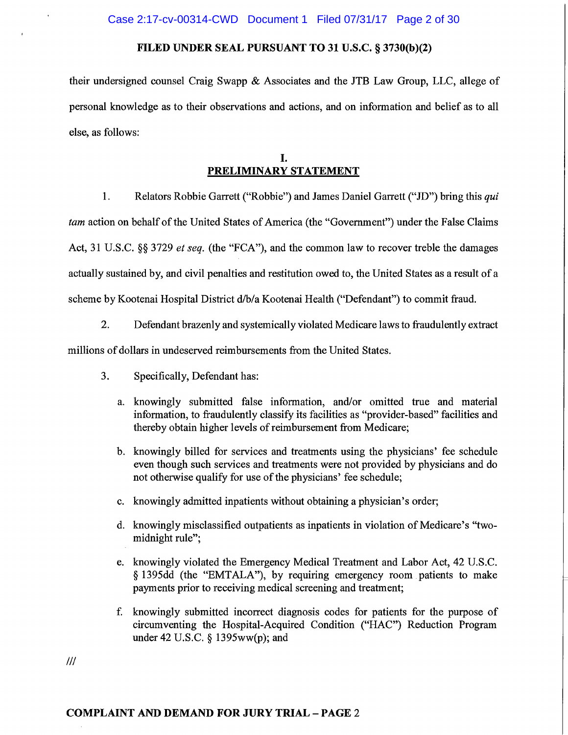their undersigned counsel Craig Swapp & Associates and the JTB Law Group, LLC, allege of personal knowledge as to their observations and actions, and on information and belief as to all else, as follows:

# L. PRELIMINARY STATEMENT

- Relators Robbie Garrett ("Robbie") and James Daniel Garrett ("JD") bring this qui  $1<sub>1</sub>$ tam action on behalf of the United States of America (the "Government") under the False Claims Act, 31 U.S.C. §§ 3729 et seq. (the "FCA"), and the common law to recover treble the damages actually sustained by, and civil penalties and restitution owed to, the United States as a result of a scheme by Kootenai Hospital District d/b/a Kootenai Health ("Defendant") to commit fraud.
	- $2.$ Defendant brazenly and systemically violated Medicare laws to fraudulently extract

millions of dollars in undeserved reimbursements from the United States.

- 3. Specifically, Defendant has:
	- a. knowingly submitted false information, and/or omitted true and material information, to fraudulently classify its facilities as "provider-based" facilities and thereby obtain higher levels of reimbursement from Medicare;
	- b. knowingly billed for services and treatments using the physicians' fee schedule even though such services and treatments were not provided by physicians and do not otherwise qualify for use of the physicians' fee schedule;
	- c. knowingly admitted inpatients without obtaining a physician's order;
	- d. knowingly misclassified outpatients as inpatients in violation of Medicare's "twomidnight rule";
	- e. knowingly violated the Emergency Medical Treatment and Labor Act, 42 U.S.C. § 1395dd (the "EMTALA"), by requiring emergency room patients to make payments prior to receiving medical screening and treatment;
	- f. knowingly submitted incorrect diagnosis codes for patients for the purpose of circumventing the Hospital-Acquired Condition ("HAC") Reduction Program under 42 U.S.C.  $\S$  1395ww(p); and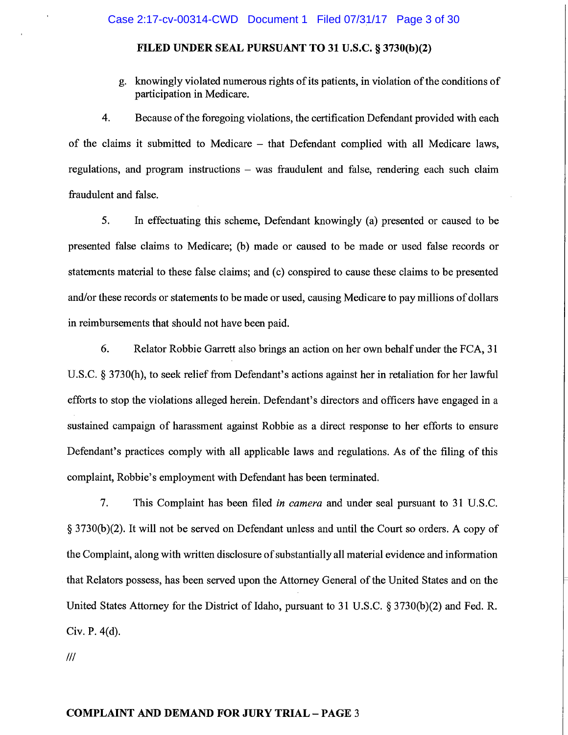g. knowingly violated numerous rights of its patients, in violation of the conditions of participation in Medicare.

4. Because of the foregoing violations, the certification Defendant provided with each of the claims it submitted to Medicare – that Defendant complied with all Medicare laws, regulations, and program instructions - was fraudulent and false, rendering each such claim fraudulent and false.

5. In effectuating this scheme, Defendant knowingly (a) presented or caused to be presented false claims to Medicare; (b) made or caused to be made or used false records or statements material to these false claims; and (c) conspired to cause these claims to be presented and/or these records or statements to be made or used, causing Medicare to pay millions of dollars in reimbursements that should not have been paid.

6. Relator Robbie Garrett also brings an action on her own behalf under the FCA, 31 U.S.C. § 3730(h), to seek relief from Defendant's actions against her in retaliation for her lawful efforts to stop the violations alleged herein. Defendant's directors and officers have engaged in a sustained campaign of harassment against Robbie as a direct response to her efforts to ensure Defendant's practices comply with all applicable laws and regulations. As of the filing of this complaint, Robbie's employment with Defendant has been terminated.

 $7<sub>1</sub>$ This Complaint has been filed *in camera* and under seal pursuant to 31 U.S.C. § 3730(b)(2). It will not be served on Defendant unless and until the Court so orders. A copy of the Complaint, along with written disclosure of substantially all material evidence and information that Relators possess, has been served upon the Attorney General of the United States and on the United States Attorney for the District of Idaho, pursuant to 31 U.S.C.  $\S 3730(b)(2)$  and Fed. R. Civ. P. 4(d).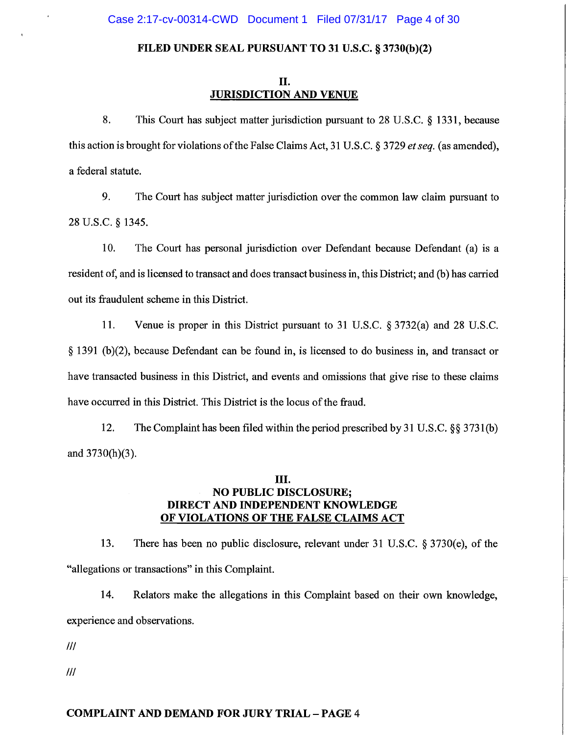## Π. **JURISDICTION AND VENUE**

8. This Court has subject matter jurisdiction pursuant to 28 U.S.C.  $\S$  1331, because this action is brought for violations of the False Claims Act, 31 U.S.C. § 3729 et seq. (as amended), a federal statute.

9. The Court has subject matter jurisdiction over the common law claim pursuant to 28 U.S.C. § 1345.

10. The Court has personal jurisdiction over Defendant because Defendant (a) is a resident of, and is licensed to transact and does transact business in, this District; and (b) has carried out its fraudulent scheme in this District.

11. Venue is proper in this District pursuant to 31 U.S.C. § 3732(a) and 28 U.S.C. § 1391 (b)(2), because Defendant can be found in, is licensed to do business in, and transact or have transacted business in this District, and events and omissions that give rise to these claims have occurred in this District. This District is the locus of the fraud.

12. The Complaint has been filed within the period prescribed by 31 U.S.C.  $\S$ § 3731(b) and  $3730(h)(3)$ .

# Ш. **NO PUBLIC DISCLOSURE;** DIRECT AND INDEPENDENT KNOWLEDGE OF VIOLATIONS OF THE FALSE CLAIMS ACT

There has been no public disclosure, relevant under 31 U.S.C. § 3730(e), of the 13. "allegations or transactions" in this Complaint.

14. Relators make the allegations in this Complaint based on their own knowledge, experience and observations.

 $III$ 

 $III$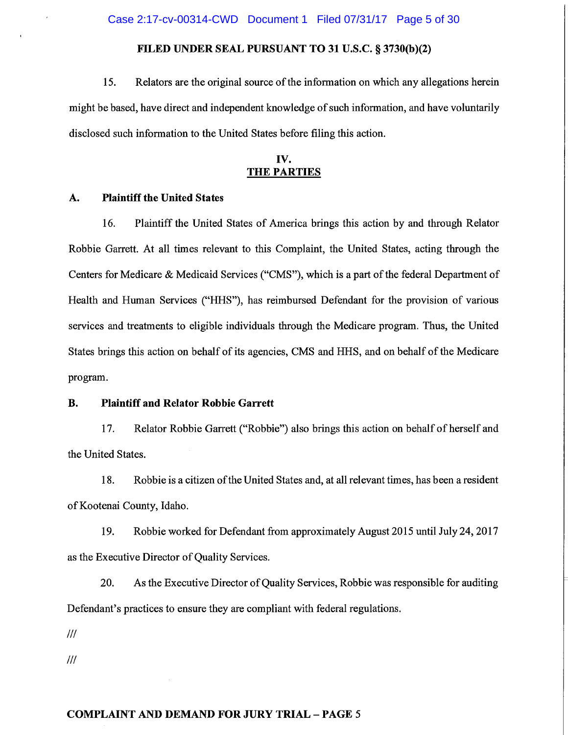### Case 2:17-cv-00314-CWD Document 1 Filed 07/31/17 Page 5 of 30

# FILED UNDER SEAL PURSUANT TO 31 U.S.C. § 3730(b)(2)

15. Relators are the original source of the information on which any allegations herein might be based, have direct and independent knowledge of such information, and have voluntarily disclosed such information to the United States before filing this action.

# IV. **THE PARTIES**

#### A. **Plaintiff the United States**

16. Plaintiff the United States of America brings this action by and through Relator Robbie Garrett. At all times relevant to this Complaint, the United States, acting through the Centers for Medicare & Medicaid Services ("CMS"), which is a part of the federal Department of Health and Human Services ("HHS"), has reimbursed Defendant for the provision of various services and treatments to eligible individuals through the Medicare program. Thus, the United States brings this action on behalf of its agencies, CMS and HHS, and on behalf of the Medicare program.

#### **Plaintiff and Relator Robbie Garrett B.**

17. Relator Robbie Garrett ("Robbie") also brings this action on behalf of herself and the United States.

18. Robbie is a citizen of the United States and, at all relevant times, has been a resident of Kootenai County, Idaho.

19. Robbie worked for Defendant from approximately August 2015 until July 24, 2017 as the Executive Director of Quality Services.

20. As the Executive Director of Quality Services, Robbie was responsible for auditing Defendant's practices to ensure they are compliant with federal regulations.

 $III$ 

 $III$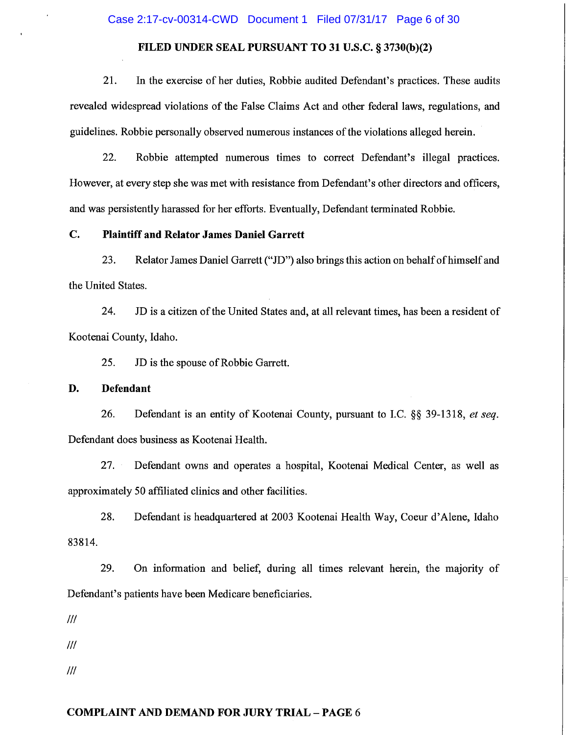Case 2:17-cv-00314-CWD Document 1 Filed 07/31/17 Page 6 of 30

# FILED UNDER SEAL PURSUANT TO 31 U.S.C. § 3730(b)(2)

21. In the exercise of her duties, Robbie audited Defendant's practices. These audits revealed widespread violations of the False Claims Act and other federal laws, regulations, and guidelines. Robbie personally observed numerous instances of the violations alleged herein.

22. Robbie attempted numerous times to correct Defendant's illegal practices. However, at every step she was met with resistance from Defendant's other directors and officers, and was persistently harassed for her efforts. Eventually, Defendant terminated Robbie.

#### $C_{\bullet}$ **Plaintiff and Relator James Daniel Garrett**

23. Relator James Daniel Garrett ("JD") also brings this action on behalf of himself and the United States.

24. JD is a citizen of the United States and, at all relevant times, has been a resident of Kootenai County, Idaho.

25. JD is the spouse of Robbie Garrett.

#### D. **Defendant**

26. Defendant is an entity of Kootenai County, pursuant to I.C. §§ 39-1318, et seq. Defendant does business as Kootenai Health.

27. Defendant owns and operates a hospital, Kootenai Medical Center, as well as approximately 50 affiliated clinics and other facilities.

28. Defendant is headquartered at 2003 Kootenai Health Way, Coeur d'Alene, Idaho 83814.

29. On information and belief, during all times relevant herein, the majority of Defendant's patients have been Medicare beneficiaries.

 $III$ 

 $III$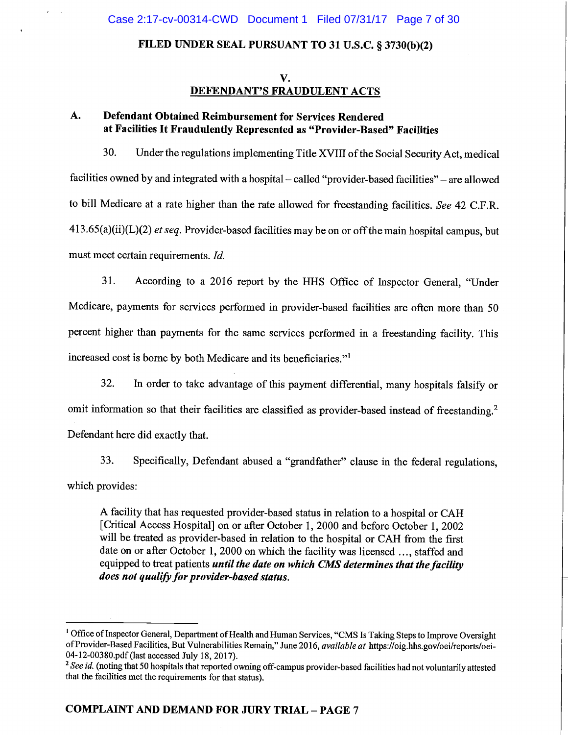# V. DEFENDANT'S FRAUDULENT ACTS

#### **Defendant Obtained Reimbursement for Services Rendered** A. at Facilities It Fraudulently Represented as "Provider-Based" Facilities

30. Under the regulations implementing Title XVIII of the Social Security Act, medical facilities owned by and integrated with a hospital – called "provider-based facilities" – are allowed to bill Medicare at a rate higher than the rate allowed for freestanding facilities. See 42 C.F.R.  $413.65(a)(ii)(L)(2)$  et seq. Provider-based facilities may be on or off the main hospital campus, but must meet certain requirements. Id.

31. According to a 2016 report by the HHS Office of Inspector General, "Under Medicare, payments for services performed in provider-based facilities are often more than 50 percent higher than payments for the same services performed in a freestanding facility. This increased cost is borne by both Medicare and its beneficiaries."<sup>1</sup>

32. In order to take advantage of this payment differential, many hospitals falsify or omit information so that their facilities are classified as provider-based instead of freestanding.<sup>2</sup> Defendant here did exactly that.

33. Specifically, Defendant abused a "grandfather" clause in the federal regulations, which provides:

A facility that has requested provider-based status in relation to a hospital or CAH [Critical Access Hospital] on or after October 1, 2000 and before October 1, 2002 will be treated as provider-based in relation to the hospital or CAH from the first date on or after October 1, 2000 on which the facility was licensed ..., staffed and equipped to treat patients until the date on which CMS determines that the facility does not qualify for provider-based status.

<sup>&</sup>lt;sup>1</sup> Office of Inspector General, Department of Health and Human Services, "CMS Is Taking Steps to Improve Oversight of Provider-Based Facilities, But Vulnerabilities Remain," June 2016, available at https://oig.hhs.gov/oei/reports/oei-04-12-00380.pdf (last accessed July 18, 2017).

<sup>&</sup>lt;sup>2</sup> See id. (noting that 50 hospitals that reported owning off-campus provider-based facilities had not voluntarily attested that the facilities met the requirements for that status).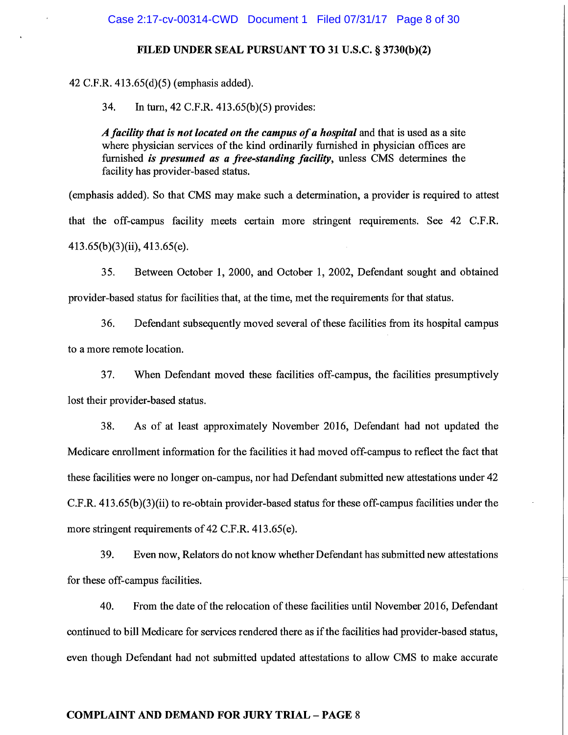42 C.F.R. 413.65(d)(5) (emphasis added).

34. In turn, 42 C.F.R. 413.65(b)(5) provides:

A facility that is not located on the campus of a hospital and that is used as a site where physician services of the kind ordinarily furnished in physician offices are furnished is presumed as a free-standing facility, unless CMS determines the facility has provider-based status.

(emphasis added). So that CMS may make such a determination, a provider is required to attest that the off-campus facility meets certain more stringent requirements. See 42 C.F.R.  $413.65(b)(3)(ii)$ ,  $413.65(e)$ .

35. Between October 1, 2000, and October 1, 2002, Defendant sought and obtained provider-based status for facilities that, at the time, met the requirements for that status.

36. Defendant subsequently moved several of these facilities from its hospital campus to a more remote location.

37. When Defendant moved these facilities off-campus, the facilities presumptively lost their provider-based status.

38. As of at least approximately November 2016, Defendant had not updated the Medicare enrollment information for the facilities it had moved off-campus to reflect the fact that these facilities were no longer on-campus, nor had Defendant submitted new attestations under 42 C.F.R. 413.65(b)(3)(ii) to re-obtain provider-based status for these off-campus facilities under the more stringent requirements of 42 C.F.R. 413.65(e).

39. Even now, Relators do not know whether Defendant has submitted new attestations for these off-campus facilities.

40. From the date of the relocation of these facilities until November 2016, Defendant continued to bill Medicare for services rendered there as if the facilities had provider-based status, even though Defendant had not submitted updated attestations to allow CMS to make accurate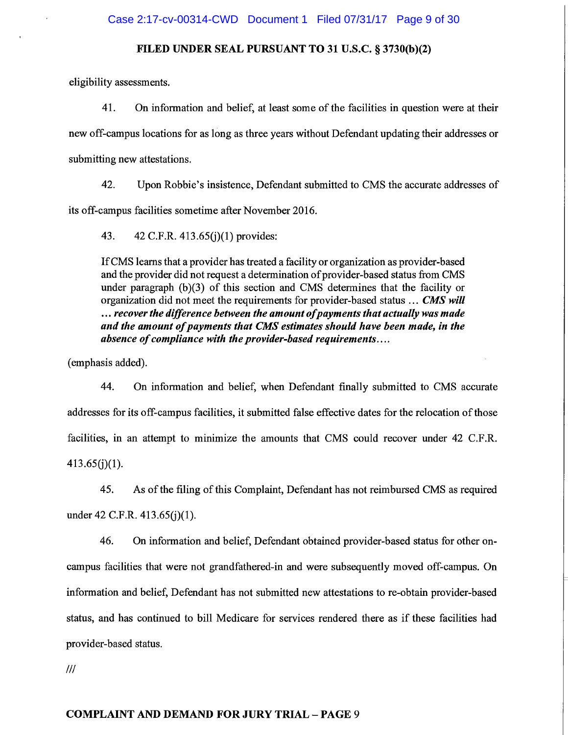eligibility assessments.

41. On information and belief, at least some of the facilities in question were at their new off-campus locations for as long as three years without Defendant updating their addresses or submitting new attestations.

42. Upon Robbie's insistence, Defendant submitted to CMS the accurate addresses of its off-campus facilities sometime after November 2016.

43. 42 C.F.R. 413.65(j)(1) provides:

If CMS learns that a provider has treated a facility or organization as provider-based and the provider did not request a determination of provider-based status from CMS under paragraph  $(b)(3)$  of this section and CMS determines that the facility or organization did not meet the requirements for provider-based status ... CMS will ... recover the difference between the amount of payments that actually was made and the amount of payments that CMS estimates should have been made, in the absence of compliance with the provider-based requirements....

(emphasis added).

44. On information and belief, when Defendant finally submitted to CMS accurate addresses for its off-campus facilities, it submitted false effective dates for the relocation of those facilities, in an attempt to minimize the amounts that CMS could recover under 42 C.F.R.  $413.65(j)(1)$ .

45. As of the filing of this Complaint, Defendant has not reimbursed CMS as required under 42 C.F.R.  $413.65(i)(1)$ .

46. On information and belief, Defendant obtained provider-based status for other oncampus facilities that were not grandfathered-in and were subsequently moved off-campus. On information and belief, Defendant has not submitted new attestations to re-obtain provider-based status, and has continued to bill Medicare for services rendered there as if these facilities had provider-based status.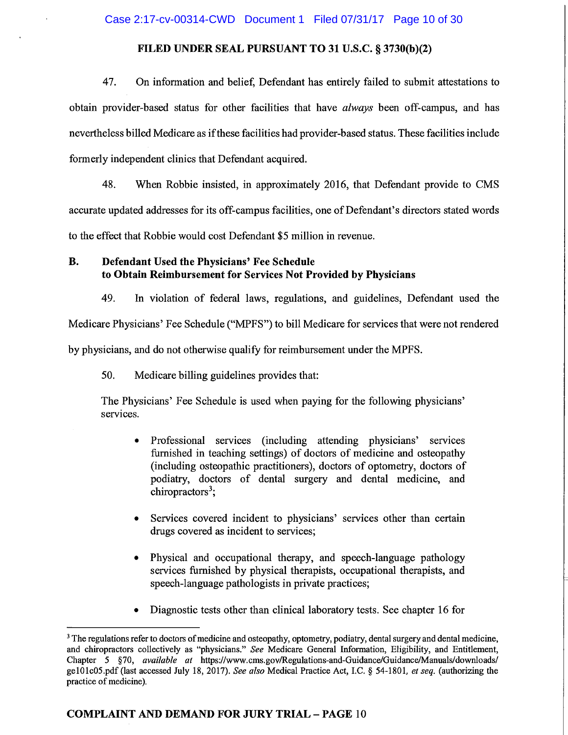47. On information and belief, Defendant has entirely failed to submit attestations to obtain provider-based status for other facilities that have always been off-campus, and has nevertheless billed Medicare as if these facilities had provider-based status. These facilities include formerly independent clinics that Defendant acquired.

48. When Robbie insisted, in approximately 2016, that Defendant provide to CMS accurate updated addresses for its off-campus facilities, one of Defendant's directors stated words to the effect that Robbie would cost Defendant \$5 million in revenue.

#### **B.** Defendant Used the Physicians' Fee Schedule to Obtain Reimbursement for Services Not Provided by Physicians

49. In violation of federal laws, regulations, and guidelines, Defendant used the Medicare Physicians' Fee Schedule ("MPFS") to bill Medicare for services that were not rendered by physicians, and do not otherwise qualify for reimbursement under the MPFS.

50. Medicare billing guidelines provides that:

The Physicians' Fee Schedule is used when paying for the following physicians' services.

- Professional services (including attending physicians' services  $\bullet$ furnished in teaching settings) of doctors of medicine and osteopathy (including osteopathic practitioners), doctors of optometry, doctors of podiatry, doctors of dental surgery and dental medicine, and chiropractors<sup>3</sup>;
- Services covered incident to physicians' services other than certain drugs covered as incident to services;
- Physical and occupational therapy, and speech-language pathology services furnished by physical therapists, occupational therapists, and speech-language pathologists in private practices;
- Diagnostic tests other than clinical laboratory tests. See chapter 16 for

<sup>&</sup>lt;sup>3</sup> The regulations refer to doctors of medicine and osteopathy, optometry, podiatry, dental surgery and dental medicine, and chiropractors collectively as "physicians." See Medicare General Information, Eligibility, and Entitlement, Chapter 5 §70, available at https://www.cms.gov/Regulations-and-Guidance/Guidance/Manuals/downloads/ ge101c05.pdf (last accessed July 18, 2017). See also Medical Practice Act, I.C. § 54-1801, et seq. (authorizing the practice of medicine).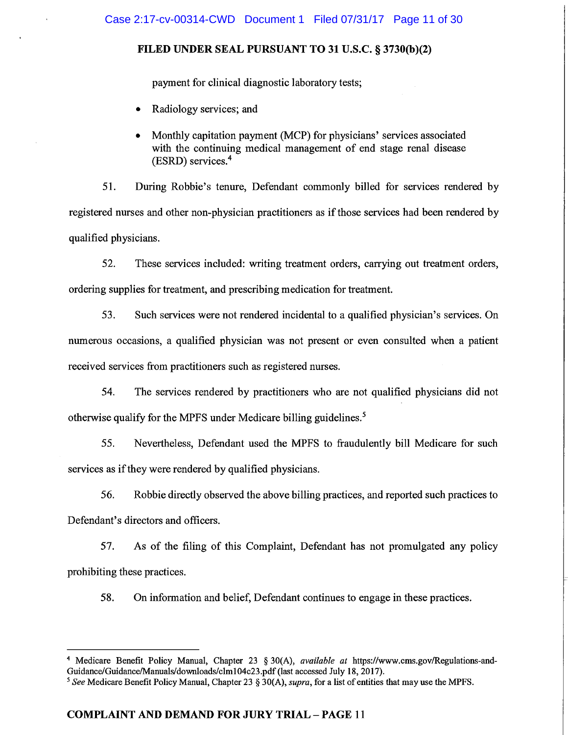payment for clinical diagnostic laboratory tests;

- Radiology services; and
- Monthly capitation payment (MCP) for physicians' services associated with the continuing medical management of end stage renal disease  $(ESRD)$  services.<sup>4</sup>

51. During Robbie's tenure, Defendant commonly billed for services rendered by registered nurses and other non-physician practitioners as if those services had been rendered by qualified physicians.

52. These services included: writing treatment orders, carrying out treatment orders, ordering supplies for treatment, and prescribing medication for treatment.

53. Such services were not rendered incidental to a qualified physician's services. On numerous occasions, a qualified physician was not present or even consulted when a patient received services from practitioners such as registered nurses.

54. The services rendered by practitioners who are not qualified physicians did not otherwise qualify for the MPFS under Medicare billing guidelines.<sup>5</sup>

55. Nevertheless, Defendant used the MPFS to fraudulently bill Medicare for such services as if they were rendered by qualified physicians.

56. Robbie directly observed the above billing practices, and reported such practices to Defendant's directors and officers.

57. As of the filing of this Complaint, Defendant has not promulgated any policy prohibiting these practices.

58. On information and belief, Defendant continues to engage in these practices.

<sup>&</sup>lt;sup>4</sup> Medicare Benefit Policy Manual, Chapter 23  $\S 30(A)$ , *available at https://www.cms.gov/Regulations-and-*Guidance/Guidance/Manuals/downloads/clm104c23.pdf (last accessed July 18, 2017).

<sup>&</sup>lt;sup>5</sup> See Medicare Benefit Policy Manual, Chapter 23 § 30(A), *supra*, for a list of entities that may use the MPFS.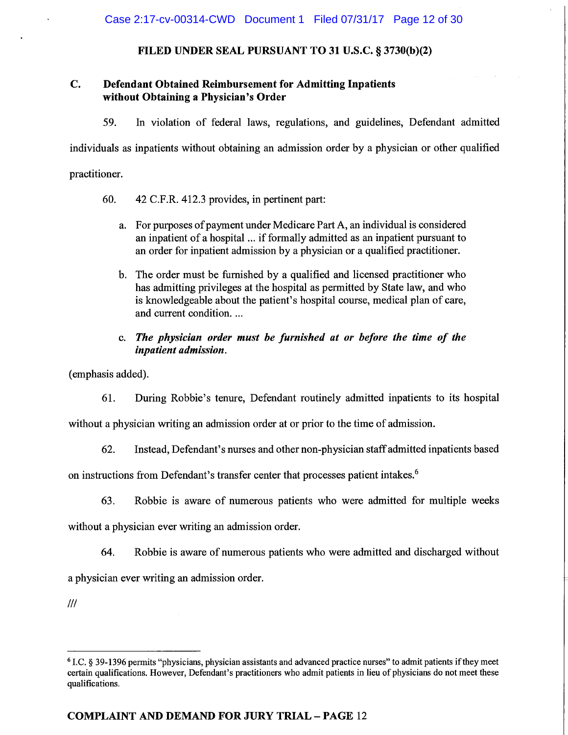#### C. **Defendant Obtained Reimbursement for Admitting Inpatients** without Obtaining a Physician's Order

59. In violation of federal laws, regulations, and guidelines, Defendant admitted

individuals as inpatients without obtaining an admission order by a physician or other qualified

practitioner.

- 60. 42 C.F.R. 412.3 provides, in pertinent part:
	- a. For purposes of payment under Medicare Part A, an individual is considered an inpatient of a hospital ... if formally admitted as an inpatient pursuant to an order for inpatient admission by a physician or a qualified practitioner.
	- b. The order must be furnished by a qualified and licensed practitioner who has admitting privileges at the hospital as permitted by State law, and who is knowledgeable about the patient's hospital course, medical plan of care, and current condition...
	- c. The physician order must be furnished at or before the time of the inpatient admission.

(emphasis added).

61. During Robbie's tenure, Defendant routinely admitted inpatients to its hospital

without a physician writing an admission order at or prior to the time of admission.

62. Instead, Defendant's nurses and other non-physician staff admitted inpatients based

on instructions from Defendant's transfer center that processes patient intakes.<sup>6</sup>

Robbie is aware of numerous patients who were admitted for multiple weeks 63.

without a physician ever writing an admission order.

Robbie is aware of numerous patients who were admitted and discharged without 64.

a physician ever writing an admission order.

<sup>&</sup>lt;sup>6</sup> I.C. § 39-1396 permits "physicians, physician assistants and advanced practice nurses" to admit patients if they meet certain qualifications. However, Defendant's practitioners who admit patients in lieu of physicians do not meet these qualifications.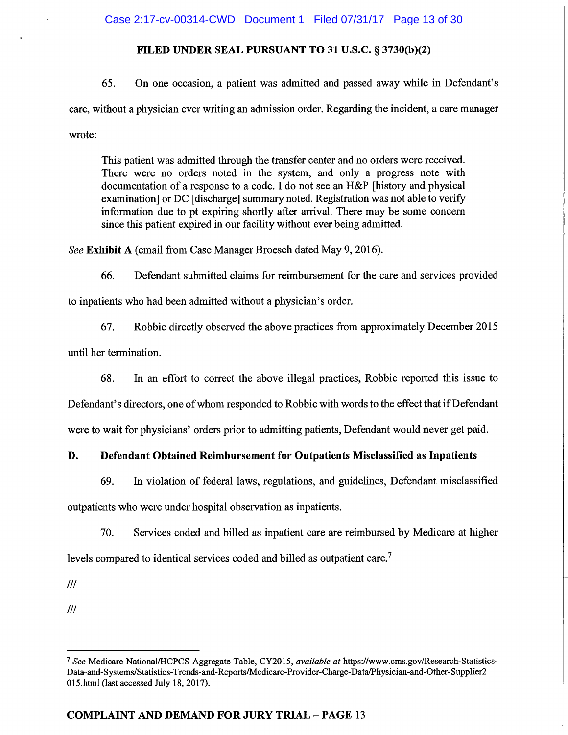# Case 2:17-cv-00314-CWD Document 1 Filed 07/31/17 Page 13 of 30

# FILED UNDER SEAL PURSUANT TO 31 U.S.C. § 3730(b)(2)

65. On one occasion, a patient was admitted and passed away while in Defendant's care, without a physician ever writing an admission order. Regarding the incident, a care manager wrote:

This patient was admitted through the transfer center and no orders were received. There were no orders noted in the system, and only a progress note with documentation of a response to a code. I do not see an H&P [history and physical examination] or DC [discharge] summary noted. Registration was not able to verify information due to pt expiring shortly after arrival. There may be some concern since this patient expired in our facility without ever being admitted.

See Exhibit A (email from Case Manager Broesch dated May 9, 2016).

66. Defendant submitted claims for reimbursement for the care and services provided to inpatients who had been admitted without a physician's order.

67. Robbie directly observed the above practices from approximately December 2015

until her termination.

In an effort to correct the above illegal practices, Robbie reported this issue to 68.

Defendant's directors, one of whom responded to Robbie with words to the effect that if Defendant

were to wait for physicians' orders prior to admitting patients, Defendant would never get paid.

#### D. Defendant Obtained Reimbursement for Outpatients Misclassified as Inpatients

69. In violation of federal laws, regulations, and guidelines, Defendant misclassified

outpatients who were under hospital observation as inpatients.

70. Services coded and billed as inpatient care are reimbursed by Medicare at higher

levels compared to identical services coded and billed as outpatient care.<sup>7</sup>

 $III$ 

<sup>&</sup>lt;sup>7</sup> See Medicare National/HCPCS Aggregate Table, CY2015, available at https://www.cms.gov/Research-Statistics-Data-and-Systems/Statistics-Trends-and-Reports/Medicare-Provider-Charge-Data/Physician-and-Other-Supplier2 015.html (last accessed July 18, 2017).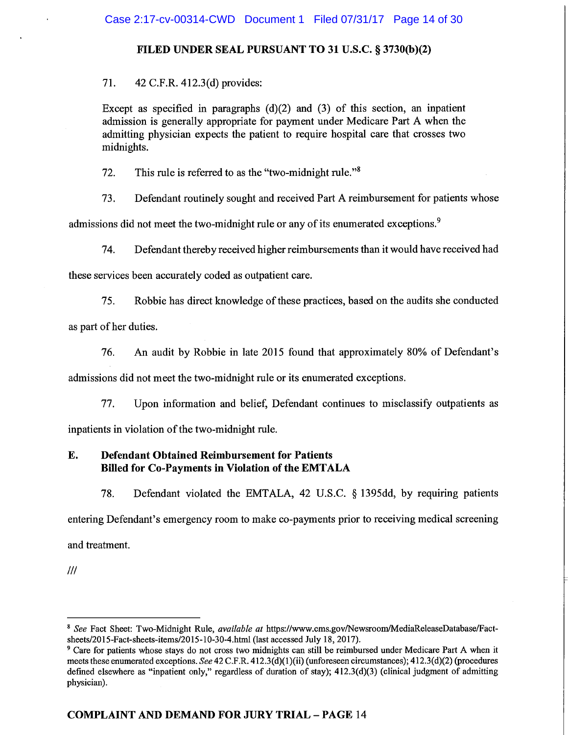71. 42 C.F.R. 412.3(d) provides:

Except as specified in paragraphs  $(d)(2)$  and  $(3)$  of this section, an inpatient admission is generally appropriate for payment under Medicare Part A when the admitting physician expects the patient to require hospital care that crosses two midnights.

This rule is referred to as the "two-midnight rule."<sup>8</sup> 72.

Defendant routinely sought and received Part A reimbursement for patients whose 73.

admissions did not meet the two-midnight rule or any of its enumerated exceptions.<sup>9</sup>

74. Defendant thereby received higher reimbursements than it would have received had

these services been accurately coded as outpatient care.

75. Robbie has direct knowledge of these practices, based on the audits she conducted

as part of her duties.

76. An audit by Robbie in late 2015 found that approximately 80% of Defendant's

admissions did not meet the two-midnight rule or its enumerated exceptions.

77. Upon information and belief, Defendant continues to misclassify outpatients as inpatients in violation of the two-midnight rule.

#### E. **Defendant Obtained Reimbursement for Patients Billed for Co-Payments in Violation of the EMTALA**

Defendant violated the EMTALA, 42 U.S.C. § 1395dd, by requiring patients 78. entering Defendant's emergency room to make co-payments prior to receiving medical screening and treatment.

<sup>&</sup>lt;sup>8</sup> See Fact Sheet: Two-Midnight Rule, available at https://www.cms.gov/Newsroom/MediaReleaseDatabase/Factsheets/2015-Fact-sheets-items/2015-10-30-4.html (last accessed July 18, 2017).

<sup>&</sup>lt;sup>9</sup> Care for patients whose stays do not cross two midnights can still be reimbursed under Medicare Part A when it meets these enumerated exceptions. See 42 C.F.R. 412.3(d)(1)(ii) (unforeseen circumstances); 412.3(d)(2) (procedures defined elsewhere as "inpatient only," regardless of duration of stay);  $412.3(d)(3)$  (clinical judgment of admitting physician).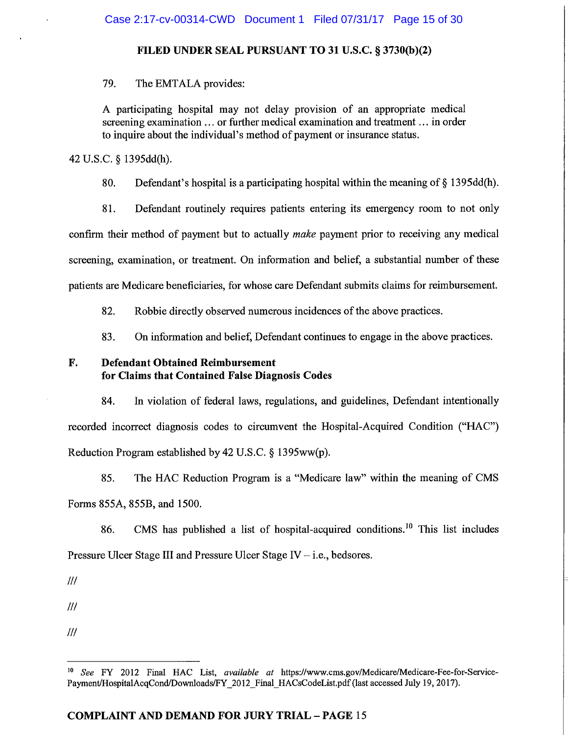79. The EMTALA provides:

A participating hospital may not delay provision of an appropriate medical screening examination ... or further medical examination and treatment ... in order to inquire about the individual's method of payment or insurance status.

42 U.S.C. § 1395dd(h).

80. Defendant's hospital is a participating hospital within the meaning of  $\S$  1395dd(h).

81. Defendant routinely requires patients entering its emergency room to not only confirm their method of payment but to actually *make* payment prior to receiving any medical screening, examination, or treatment. On information and belief, a substantial number of these patients are Medicare beneficiaries, for whose care Defendant submits claims for reimbursement.

82. Robbie directly observed numerous incidences of the above practices.

83. On information and belief, Defendant continues to engage in the above practices.

#### F. **Defendant Obtained Reimbursement** for Claims that Contained False Diagnosis Codes

84. In violation of federal laws, regulations, and guidelines, Defendant intentionally recorded incorrect diagnosis codes to circumvent the Hospital-Acquired Condition ("HAC") Reduction Program established by 42 U.S.C. § 1395ww(p).

85. The HAC Reduction Program is a "Medicare law" within the meaning of CMS Forms 855A, 855B, and 1500.

CMS has published a list of hospital-acquired conditions.<sup>10</sup> This list includes 86. Pressure Ulcer Stage III and Pressure Ulcer Stage IV  $-$  i.e., bedsores.

 $III$ 

 $III$ 

See FY 2012 Final HAC List, available at https://www.cms.gov/Medicare/Medicare-Fee-for-Service- $10<sub>10</sub>$ Payment/HospitalAcqCond/Downloads/FY 2012 Final HACsCodeList.pdf (last accessed July 19, 2017).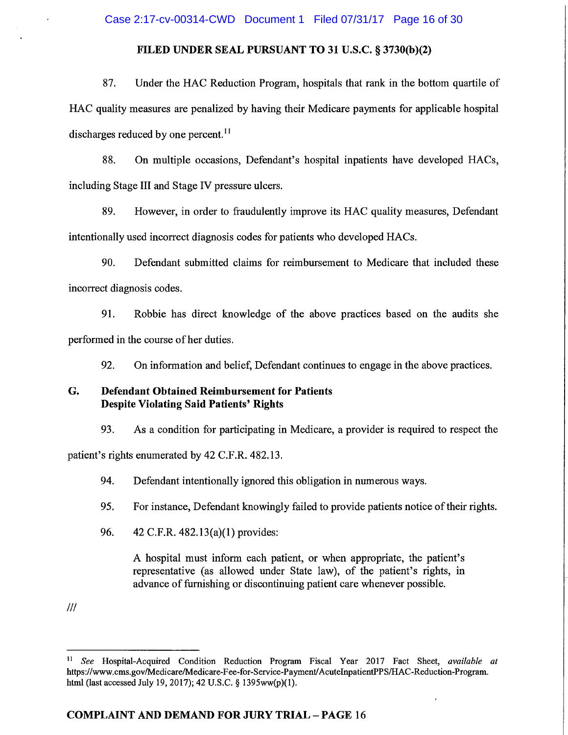# Case 2:17-cv-00314-CWD Document 1 Filed 07/31/17 Page 16 of 30

# FILED UNDER SEAL PURSUANT TO 31 U.S.C. § 3730(b)(2)

87. Under the HAC Reduction Program, hospitals that rank in the bottom quartile of HAC quality measures are penalized by having their Medicare payments for applicable hospital discharges reduced by one percent.<sup>11</sup>

88. On multiple occasions, Defendant's hospital inpatients have developed HACs, including Stage III and Stage IV pressure ulcers.

89. However, in order to fraudulently improve its HAC quality measures, Defendant intentionally used incorrect diagnosis codes for patients who developed HACs.

90. Defendant submitted claims for reimbursement to Medicare that included these incorrect diagnosis codes.

91. Robbie has direct knowledge of the above practices based on the audits she performed in the course of her duties.

92. On information and belief, Defendant continues to engage in the above practices.

#### G. **Defendant Obtained Reimbursement for Patients Despite Violating Said Patients' Rights**

93. As a condition for participating in Medicare, a provider is required to respect the patient's rights enumerated by 42 C.F.R. 482.13.

94. Defendant intentionally ignored this obligation in numerous ways.

95. For instance, Defendant knowingly failed to provide patients notice of their rights.

96. 42 C.F.R. 482.13(a)(1) provides:

> A hospital must inform each patient, or when appropriate, the patient's representative (as allowed under State law), of the patient's rights, in advance of furnishing or discontinuing patient care whenever possible.

 $\mathbf{H}$ See Hospital-Acquired Condition Reduction Program Fiscal Year 2017 Fact Sheet, available at https://www.cms.gov/Medicare/Medicare-Fee-for-Service-Payment/AcuteInpatientPPS/HAC-Reduction-Program. html (last accessed July 19, 2017); 42 U.S.C. § 1395ww(p)(1).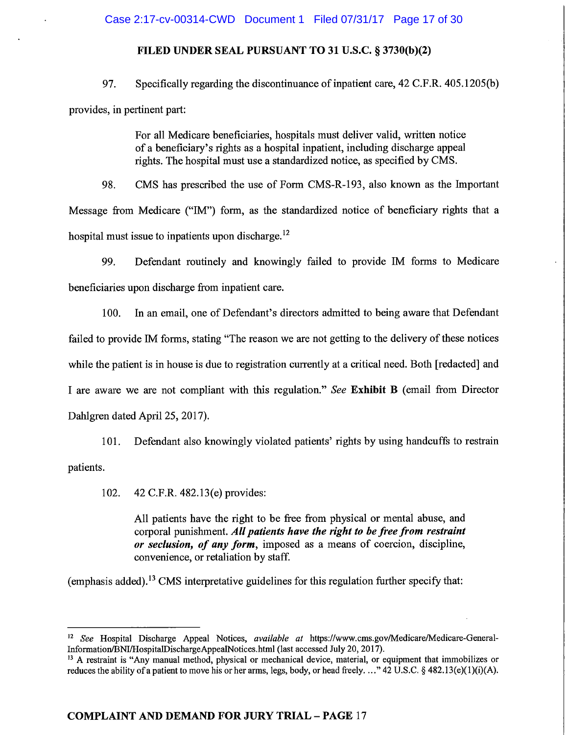# Case 2:17-cv-00314-CWD Document 1 Filed 07/31/17 Page 17 of 30

# FILED UNDER SEAL PURSUANT TO 31 U.S.C. § 3730(b)(2)

Specifically regarding the discontinuance of inpatient care, 42 C.F.R. 405.1205(b) 97. provides, in pertinent part:

> For all Medicare beneficiaries, hospitals must deliver valid, written notice of a beneficiary's rights as a hospital inpatient, including discharge appeal rights. The hospital must use a standardized notice, as specified by CMS.

CMS has prescribed the use of Form CMS-R-193, also known as the Important 98. Message from Medicare ("IM") form, as the standardized notice of beneficiary rights that a hospital must issue to inpatients upon discharge.<sup>12</sup>

99. Defendant routinely and knowingly failed to provide IM forms to Medicare beneficiaries upon discharge from inpatient care.

In an email, one of Defendant's directors admitted to being aware that Defendant 100. failed to provide IM forms, stating "The reason we are not getting to the delivery of these notices while the patient is in house is due to registration currently at a critical need. Both [redacted] and I are aware we are not compliant with this regulation." See Exhibit B (email from Director Dahlgren dated April 25, 2017).

Defendant also knowingly violated patients' rights by using handcuffs to restrain  $101.$ 

patients.

42 C.F.R. 482.13(e) provides: 102.

> All patients have the right to be free from physical or mental abuse, and corporal punishment. All patients have the right to be free from restraint or seclusion, of any form, imposed as a means of coercion, discipline, convenience, or retaliation by staff.

(emphasis added).<sup>13</sup> CMS interpretative guidelines for this regulation further specify that:

<sup>12</sup> See Hospital Discharge Appeal Notices, available at https://www.cms.gov/Medicare/Medicare-General-Information/BNI/HospitalDischargeAppealNotices.html (last accessed July 20, 2017).

<sup>&</sup>lt;sup>13</sup> A restraint is "Any manual method, physical or mechanical device, material, or equipment that immobilizes or reduces the ability of a patient to move his or her arms, legs, body, or head freely...." 42 U.S.C. § 482.13(e)(1)(i)(A).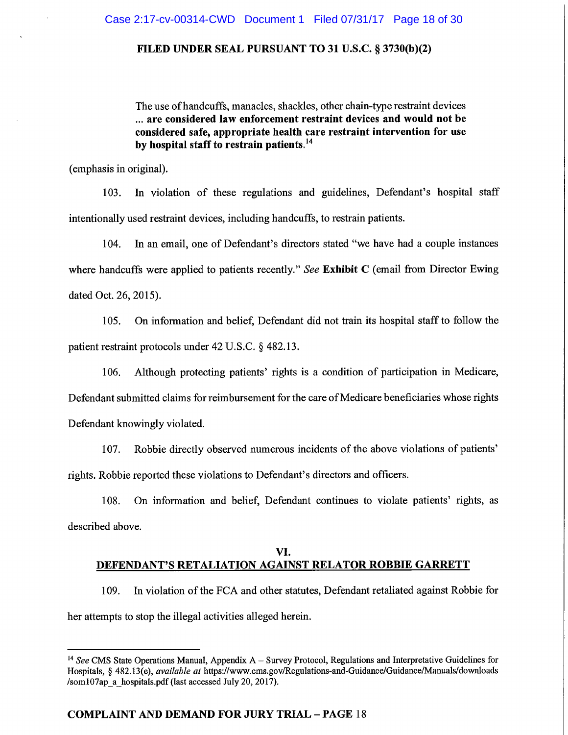The use of handcuffs, manacles, shackles, other chain-type restraint devices ... are considered law enforcement restraint devices and would not be considered safe, appropriate health care restraint intervention for use by hospital staff to restrain patients.<sup>14</sup>

(emphasis in original).

In violation of these regulations and guidelines, Defendant's hospital staff 103. intentionally used restraint devices, including handcuffs, to restrain patients.

104. In an email, one of Defendant's directors stated "we have had a couple instances" where handcuffs were applied to patients recently." See Exhibit  $C$  (email from Director Ewing dated Oct. 26, 2015).

On information and belief, Defendant did not train its hospital staff to follow the 105. patient restraint protocols under 42 U.S.C. § 482.13.

Although protecting patients' rights is a condition of participation in Medicare, 106. Defendant submitted claims for reimbursement for the care of Medicare beneficiaries whose rights Defendant knowingly violated.

107. Robbie directly observed numerous incidents of the above violations of patients' rights. Robbie reported these violations to Defendant's directors and officers.

On information and belief, Defendant continues to violate patients' rights, as 108. described above.

# VI. **DEFENDANT'S RETALIATION AGAINST RELATOR ROBBIE GARRETT**

In violation of the FCA and other statutes, Defendant retaliated against Robbie for 109. her attempts to stop the illegal activities alleged herein.

<sup>&</sup>lt;sup>14</sup> See CMS State Operations Manual, Appendix  $A -$  Survey Protocol, Regulations and Interpretative Guidelines for Hospitals, § 482.13(e), *available at https://www.cms.gov/Regulations-and-Guidance/Guidance/Manuals/downloads* /som107ap a hospitals.pdf (last accessed July 20, 2017).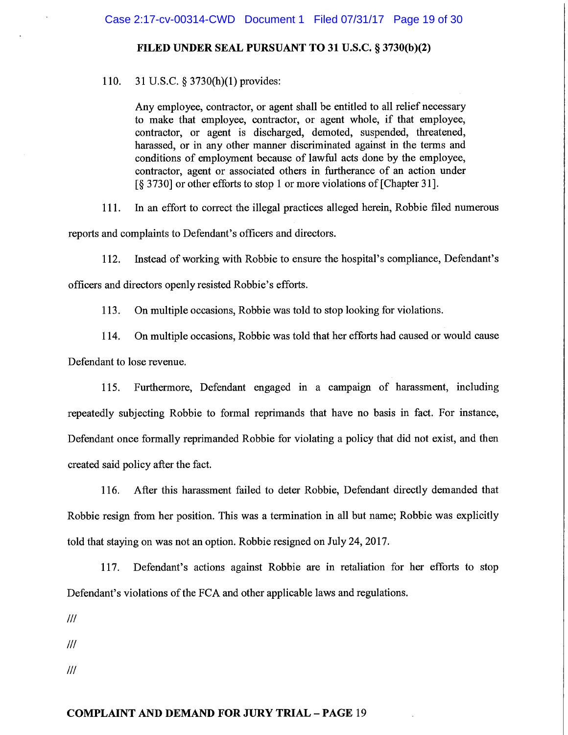110. 31 U.S.C. § 3730(h)(1) provides:

> Any employee, contractor, or agent shall be entitled to all relief necessary to make that employee, contractor, or agent whole, if that employee, contractor, or agent is discharged, demoted, suspended, threatened, harassed, or in any other manner discriminated against in the terms and conditions of employment because of lawful acts done by the employee, contractor, agent or associated others in furtherance of an action under [§ 3730] or other efforts to stop 1 or more violations of [Chapter 31].

In an effort to correct the illegal practices alleged herein, Robbie filed numerous 111.

reports and complaints to Defendant's officers and directors.

Instead of working with Robbie to ensure the hospital's compliance, Defendant's 112. officers and directors openly resisted Robbie's efforts.

113. On multiple occasions, Robbie was told to stop looking for violations.

On multiple occasions, Robbie was told that her efforts had caused or would cause 114.

Defendant to lose revenue.

Furthermore, Defendant engaged in a campaign of harassment, including 115. repeatedly subjecting Robbie to formal reprimands that have no basis in fact. For instance, Defendant once formally reprimanded Robbie for violating a policy that did not exist, and then created said policy after the fact.

After this harassment failed to deter Robbie, Defendant directly demanded that 116. Robbie resign from her position. This was a termination in all but name; Robbie was explicitly told that staying on was not an option. Robbie resigned on July 24, 2017.

117. Defendant's actions against Robbie are in retaliation for her efforts to stop Defendant's violations of the FCA and other applicable laws and regulations.

 $III$ 

 $III$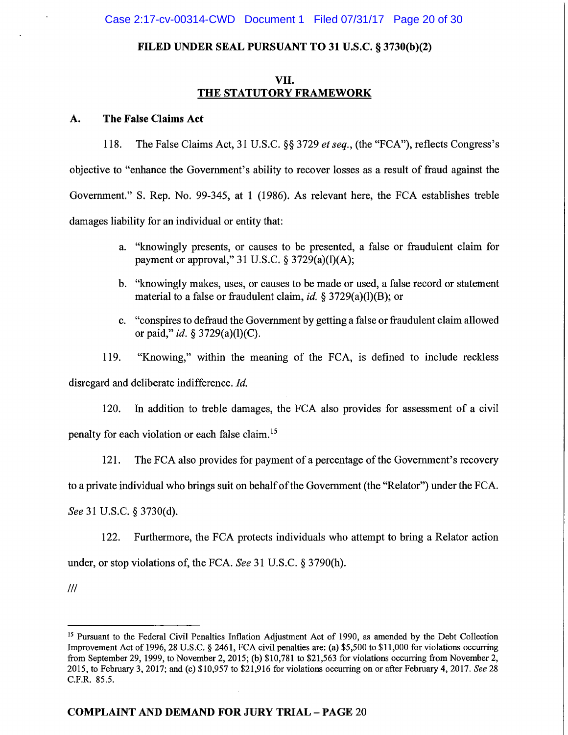# VII. THE STATUTORY FRAMEWORK

#### A. The False Claims Act

The False Claims Act, 31 U.S.C. §§ 3729 et seq., (the "FCA"), reflects Congress's 118. objective to "enhance the Government's ability to recover losses as a result of fraud against the Government." S. Rep. No. 99-345, at 1 (1986). As relevant here, the FCA establishes treble damages liability for an individual or entity that:

- a. "knowingly presents, or causes to be presented, a false or fraudulent claim for payment or approval," 31 U.S.C.  $\S$  3729(a)(l)(A);
- b. "knowingly makes, uses, or causes to be made or used, a false record or statement material to a false or fraudulent claim, id.  $\S 3729(a)(1)(B)$ ; or
- c. "conspires to defraud the Government by getting a false or fraudulent claim allowed or paid," id. § 3729(a)(l)(C).

119. "Knowing," within the meaning of the FCA, is defined to include reckless

disregard and deliberate indifference. Id.

120. In addition to treble damages, the FCA also provides for assessment of a civil penalty for each violation or each false claim.<sup>15</sup>

121. The FCA also provides for payment of a percentage of the Government's recovery

to a private individual who brings suit on behalf of the Government (the "Relator") under the FCA.

See 31 U.S.C. § 3730(d).

122. Furthermore, the FCA protects individuals who attempt to bring a Relator action under, or stop violations of, the FCA. See 31 U.S.C. § 3790(h).

<sup>&</sup>lt;sup>15</sup> Pursuant to the Federal Civil Penalties Inflation Adjustment Act of 1990, as amended by the Debt Collection Improvement Act of 1996, 28 U.S.C. § 2461, FCA civil penalties are: (a) \$5,500 to \$11,000 for violations occurring from September 29, 1999, to November 2, 2015; (b) \$10,781 to \$21,563 for violations occurring from November 2, 2015, to February 3, 2017; and (c) \$10,957 to \$21,916 for violations occurring on or after February 4, 2017. See 28 C.F.R. 85.5.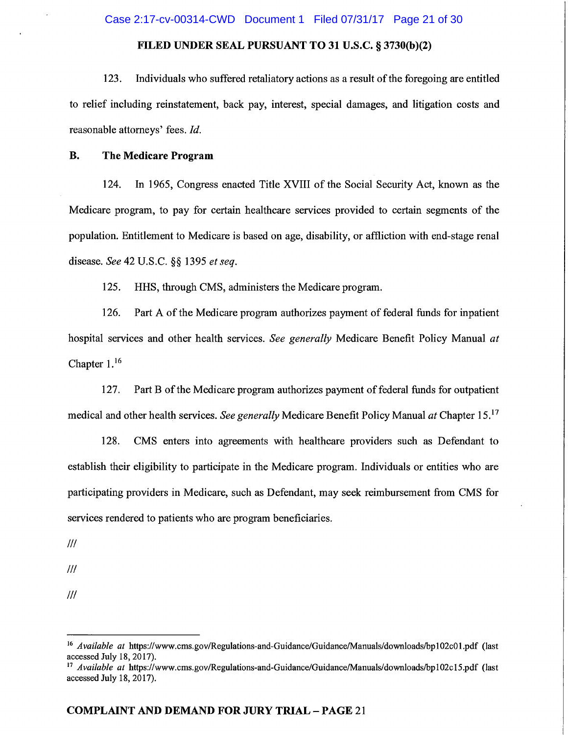123. Individuals who suffered retaliatory actions as a result of the foregoing are entitled to relief including reinstatement, back pay, interest, special damages, and litigation costs and reasonable attorneys' fees. Id.

#### **B.** The Medicare Program

In 1965, Congress enacted Title XVIII of the Social Security Act, known as the 124. Medicare program, to pay for certain healthcare services provided to certain segments of the population. Entitlement to Medicare is based on age, disability, or affliction with end-stage renal disease. See 42 U.S.C. §§ 1395 et seq.

125. HHS, through CMS, administers the Medicare program.

Part A of the Medicare program authorizes payment of federal funds for inpatient 126. hospital services and other health services. See generally Medicare Benefit Policy Manual at Chapter  $1.^{16}$ 

127. Part B of the Medicare program authorizes payment of federal funds for outpatient medical and other health services. See generally Medicare Benefit Policy Manual at Chapter 15.<sup>17</sup>

128. CMS enters into agreements with healthcare providers such as Defendant to establish their eligibility to participate in the Medicare program. Individuals or entities who are participating providers in Medicare, such as Defendant, may seek reimbursement from CMS for services rendered to patients who are program beneficiaries.

 $III$ 

 $III$ 

 $III$ 

<sup>&</sup>lt;sup>16</sup> Available at https://www.cms.gov/Regulations-and-Guidance/Guidance/Manuals/downloads/bp102c01.pdf (last accessed July 18, 2017).

<sup>&</sup>lt;sup>17</sup> Available at https://www.cms.gov/Regulations-and-Guidance/Guidance/Manuals/downloads/bp102c15.pdf (last accessed July 18, 2017).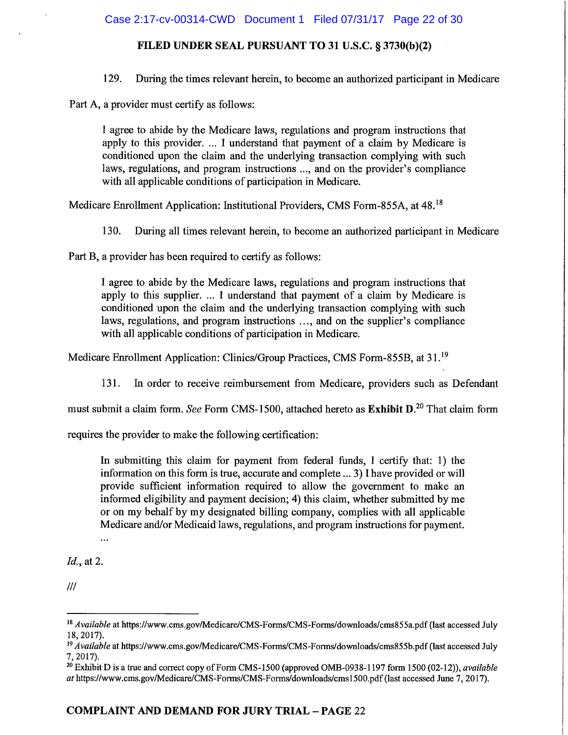129. During the times relevant herein, to become an authorized participant in Medicare

Part A, a provider must certify as follows:

I agree to abide by the Medicare laws, regulations and program instructions that apply to this provider. ... I understand that payment of a claim by Medicare is conditioned upon the claim and the underlying transaction complying with such laws, regulations, and program instructions ..., and on the provider's compliance with all applicable conditions of participation in Medicare.

Medicare Enrollment Application: Institutional Providers, CMS Form-855A, at 48.<sup>18</sup>

130. During all times relevant herein, to become an authorized participant in Medicare

Part B, a provider has been required to certify as follows:

I agree to abide by the Medicare laws, regulations and program instructions that apply to this supplier. ... I understand that payment of a claim by Medicare is conditioned upon the claim and the underlying transaction complying with such laws, regulations, and program instructions ..., and on the supplier's compliance with all applicable conditions of participation in Medicare.

Medicare Enrollment Application: Clinics/Group Practices, CMS Form-855B, at 31.<sup>19</sup>

In order to receive reimbursement from Medicare, providers such as Defendant 131.

must submit a claim form. See Form CMS-1500, attached hereto as Exhibit D.<sup>20</sup> That claim form

requires the provider to make the following certification:

In submitting this claim for payment from federal funds, I certify that: 1) the information on this form is true, accurate and complete ... 3) I have provided or will provide sufficient information required to allow the government to make an informed eligibility and payment decision; 4) this claim, whether submitted by me or on my behalf by my designated billing company, complies with all applicable Medicare and/or Medicaid laws, regulations, and program instructions for payment.

...

*Id.*, at 2.

<sup>&</sup>lt;sup>18</sup> Available at https://www.cms.gov/Medicare/CMS-Forms/CMS-Forms/downloads/cms855a.pdf (last accessed July 18, 2017).

<sup>&</sup>lt;sup>19</sup> Available at https://www.cms.gov/Medicare/CMS-Forms/CMS-Forms/downloads/cms855b.pdf (last accessed July  $7, 2017.$ 

<sup>&</sup>lt;sup>20</sup> Exhibit D is a true and correct copy of Form CMS-1500 (approved OMB-0938-1197 form 1500 (02-12)), *available* at https://www.cms.gov/Medicare/CMS-Forms/CMS-Forms/downloads/cms1500.pdf (last accessed June 7, 2017).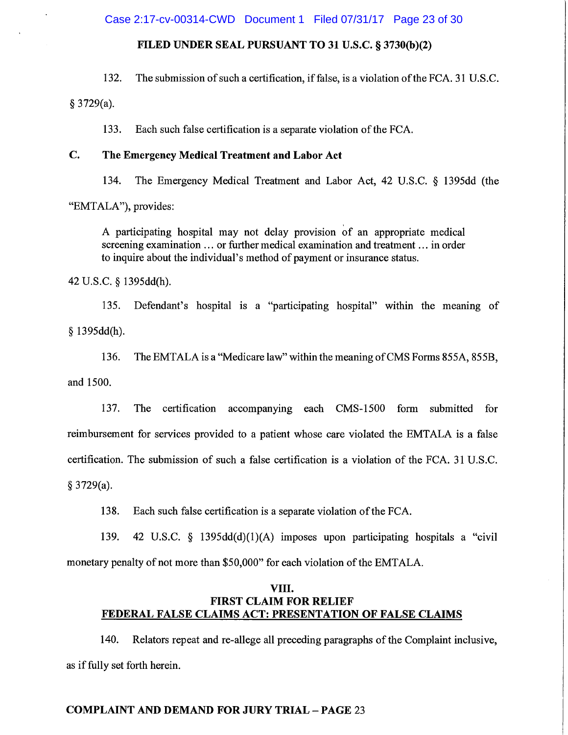Case 2:17-cv-00314-CWD Document 1 Filed 07/31/17 Page 23 of 30

### FILED UNDER SEAL PURSUANT TO 31 U.S.C. § 3730(b)(2)

132. The submission of such a certification, if false, is a violation of the FCA. 31 U.S.C.

 $§$  3729(a).

133. Each such false certification is a separate violation of the FCA.

#### $\mathbf{C}$ . The Emergency Medical Treatment and Labor Act

134. The Emergency Medical Treatment and Labor Act, 42 U.S.C. § 1395dd (the "EMTALA"), provides:

A participating hospital may not delay provision of an appropriate medical screening examination ... or further medical examination and treatment ... in order to inquire about the individual's method of payment or insurance status.

42 U.S.C. § 1395dd(h).

135. Defendant's hospital is a "participating hospital" within the meaning of  $§ 1395dd(h).$ 

136. The EMTALA is a "Medicare law" within the meaning of CMS Forms 855A, 855B, and 1500.

137. The certification accompanying each CMS-1500 form submitted for reimbursement for services provided to a patient whose care violated the EMTALA is a false certification. The submission of such a false certification is a violation of the FCA. 31 U.S.C.  $§$  3729(a).

Each such false certification is a separate violation of the FCA. 138.

139. 42 U.S.C. § 1395dd(d)(1)(A) imposes upon participating hospitals a "civil monetary penalty of not more than \$50,000" for each violation of the EMTALA.

# VIII. **FIRST CLAIM FOR RELIEF** FEDERAL FALSE CLAIMS ACT: PRESENTATION OF FALSE CLAIMS

140. Relators repeat and re-allege all preceding paragraphs of the Complaint inclusive. as if fully set forth herein.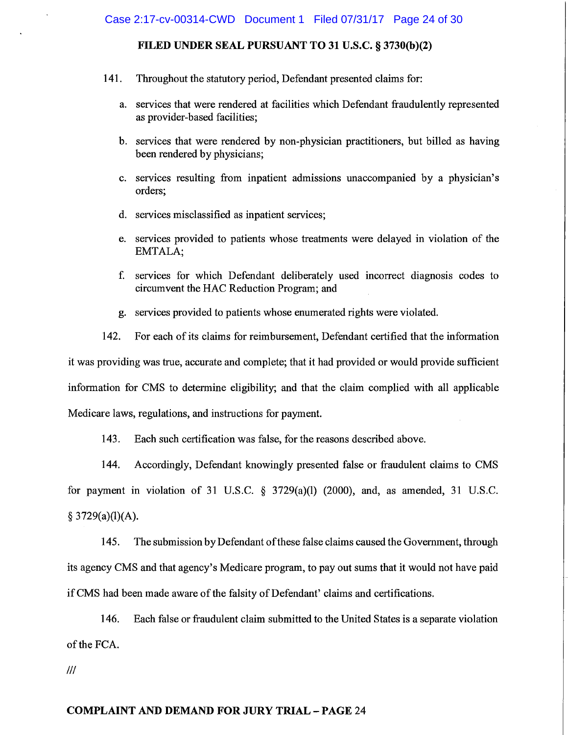- 141. Throughout the statutory period, Defendant presented claims for:
	- services that were rendered at facilities which Defendant fraudulently represented a. as provider-based facilities;
	- b. services that were rendered by non-physician practitioners, but billed as having been rendered by physicians;
	- c. services resulting from inpatient admissions unaccompanied by a physician's orders:
	- d. services misclassified as inpatient services;
	- e. services provided to patients whose treatments were delayed in violation of the EMTALA;
	- $f_{\cdot}$ services for which Defendant deliberately used incorrect diagnosis codes to circumvent the HAC Reduction Program; and
	- g. services provided to patients whose enumerated rights were violated.

142. For each of its claims for reimbursement, Defendant certified that the information it was providing was true, accurate and complete; that it had provided or would provide sufficient information for CMS to determine eligibility; and that the claim complied with all applicable Medicare laws, regulations, and instructions for payment.

143. Each such certification was false, for the reasons described above.

144. Accordingly, Defendant knowingly presented false or fraudulent claims to CMS for payment in violation of 31 U.S.C.  $\S$  3729(a)(l) (2000), and, as amended, 31 U.S.C.  $§ 3729(a)(1)(A).$ 

The submission by Defendant of these false claims caused the Government, through 145. its agency CMS and that agency's Medicare program, to pay out sums that it would not have paid if CMS had been made aware of the falsity of Defendant' claims and certifications.

146. Each false or fraudulent claim submitted to the United States is a separate violation of the FCA.

 $III$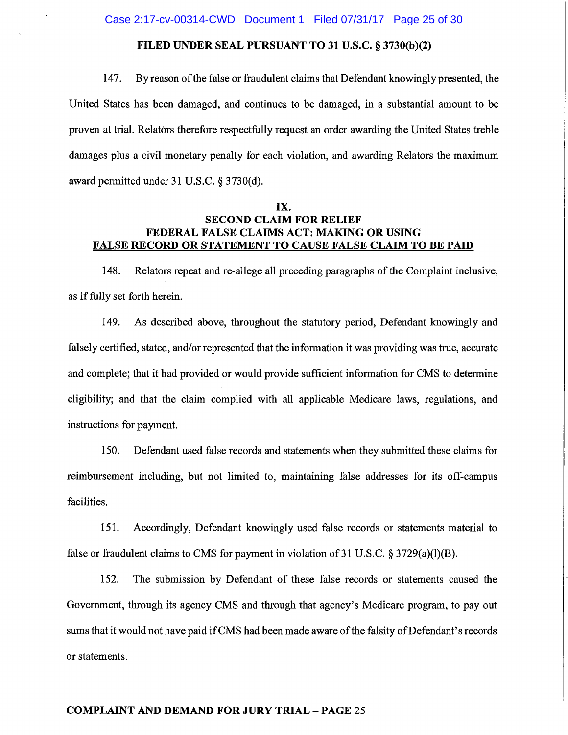#### 147. By reason of the false or fraudulent claims that Defendant knowingly presented, the

United States has been damaged, and continues to be damaged, in a substantial amount to be proven at trial. Relators therefore respectfully request an order awarding the United States treble damages plus a civil monetary penalty for each violation, and awarding Relators the maximum award permitted under 31 U.S.C. § 3730(d).

# IX. **SECOND CLAIM FOR RELIEF** FEDERAL FALSE CLAIMS ACT: MAKING OR USING **FALSE RECORD OR STATEMENT TO CAUSE FALSE CLAIM TO BE PAID**

148. Relators repeat and re-allege all preceding paragraphs of the Complaint inclusive, as if fully set forth herein.

149. As described above, throughout the statutory period, Defendant knowingly and falsely certified, stated, and/or represented that the information it was providing was true, accurate and complete; that it had provided or would provide sufficient information for CMS to determine eligibility; and that the claim complied with all applicable Medicare laws, regulations, and instructions for payment.

150. Defendant used false records and statements when they submitted these claims for reimbursement including, but not limited to, maintaining false addresses for its off-campus facilities.

151. Accordingly, Defendant knowingly used false records or statements material to false or fraudulent claims to CMS for payment in violation of 31 U.S.C.  $\S 3729(a)(1)(B)$ .

152. The submission by Defendant of these false records or statements caused the Government, through its agency CMS and through that agency's Medicare program, to pay out sums that it would not have paid if CMS had been made aware of the falsity of Defendant's records or statements.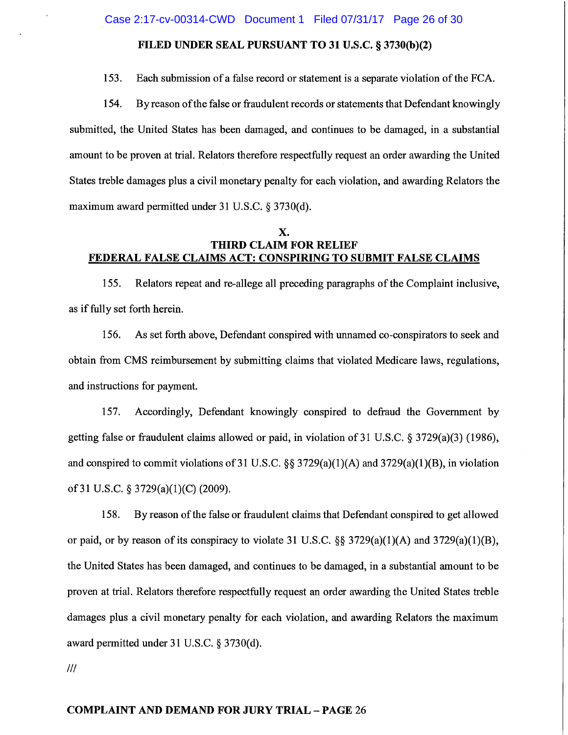Case 2:17-cv-00314-CWD Document 1 Filed 07/31/17 Page 26 of 30

## FILED UNDER SEAL PURSUANT TO 31 U.S.C. § 3730(b)(2)

153. Each submission of a false record or statement is a separate violation of the FCA.

By reason of the false or fraudulent records or statements that Defendant knowingly 154. submitted, the United States has been damaged, and continues to be damaged, in a substantial amount to be proven at trial. Relators therefore respectfully request an order awarding the United States treble damages plus a civil monetary penalty for each violation, and awarding Relators the maximum award permitted under 31 U.S.C. § 3730(d).

# Х. **THIRD CLAIM FOR RELIEF** FEDERAL FALSE CLAIMS ACT: CONSPIRING TO SUBMIT FALSE CLAIMS

155. Relators repeat and re-allege all preceding paragraphs of the Complaint inclusive, as if fully set forth herein.

156. As set forth above, Defendant conspired with unnamed co-conspirators to seek and obtain from CMS reimbursement by submitting claims that violated Medicare laws, regulations, and instructions for payment.

157. Accordingly, Defendant knowingly conspired to defraud the Government by getting false or fraudulent claims allowed or paid, in violation of 31 U.S.C. § 3729(a)(3) (1986), and conspired to commit violations of 31 U.S.C.  $\S$ § 3729(a)(1)(A) and 3729(a)(1)(B), in violation of 31 U.S.C. § 3729(a)(1)(C) (2009).

158. By reason of the false or fraudulent claims that Defendant conspired to get allowed or paid, or by reason of its conspiracy to violate 31 U.S.C.  $\S$  3729(a)(1)(A) and 3729(a)(1)(B), the United States has been damaged, and continues to be damaged, in a substantial amount to be proven at trial. Relators therefore respectfully request an order awarding the United States treble damages plus a civil monetary penalty for each violation, and awarding Relators the maximum award permitted under 31 U.S.C. § 3730(d).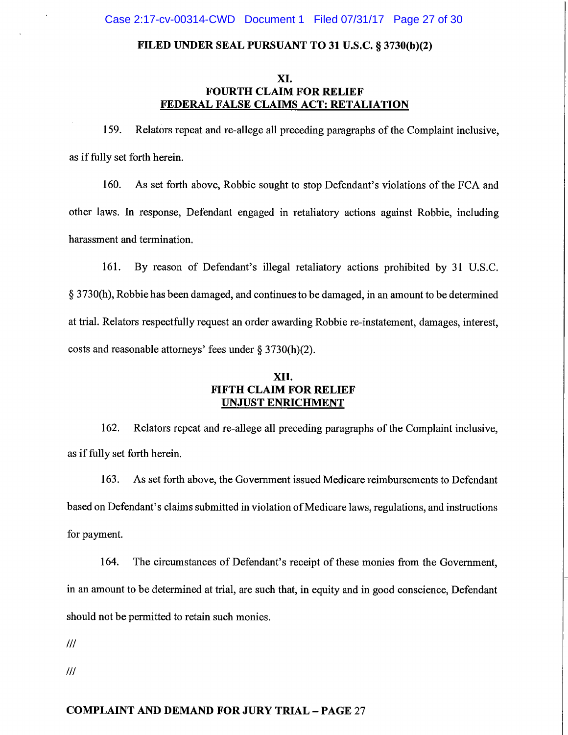# XI. **FOURTH CLAIM FOR RELIEF** FEDERAL FALSE CLAIMS ACT: RETALIATION

159. Relators repeat and re-allege all preceding paragraphs of the Complaint inclusive, as if fully set forth herein.

160. As set forth above, Robbie sought to stop Defendant's violations of the FCA and other laws. In response, Defendant engaged in retaliatory actions against Robbie, including harassment and termination.

161. By reason of Defendant's illegal retaliatory actions prohibited by 31 U.S.C. § 3730(h), Robbie has been damaged, and continues to be damaged, in an amount to be determined at trial. Relators respectfully request an order awarding Robbie re-instatement, damages, interest, costs and reasonable attorneys' fees under  $\S 3730(h)(2)$ .

# XII. **FIFTH CLAIM FOR RELIEF UNJUST ENRICHMENT**

162. Relators repeat and re-allege all preceding paragraphs of the Complaint inclusive, as if fully set forth herein.

As set forth above, the Government issued Medicare reimbursements to Defendant 163. based on Defendant's claims submitted in violation of Medicare laws, regulations, and instructions for payment.

164. The circumstances of Defendant's receipt of these monies from the Government, in an amount to be determined at trial, are such that, in equity and in good conscience, Defendant should not be permitted to retain such monies.

 $III$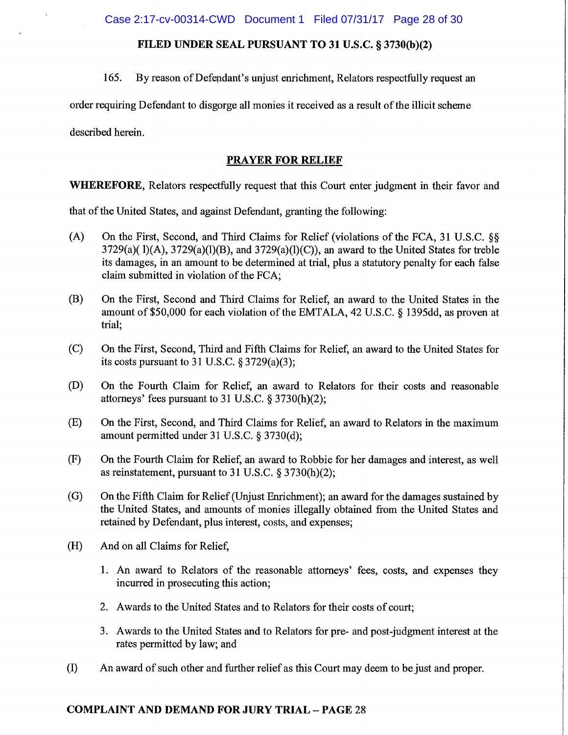Case 2:17-cv-00314-CWD Document 1 Filed 07/31/17 Page 28 of 30

# FILED UNDER SEAL PURSUANT TO 31 U.S.C. § 3730(b)(2)

165. By reason of Defendant's unjust enrichment, Relators respectfully request an

order requiring Defendant to disgorge all monies it received as a result of the illicit scheme

described herein.

# **PRAYER FOR RELIEF**

**WHEREFORE, Relators respectfully request that this Court enter judgment in their favor and** 

that of the United States, and against Defendant, granting the following:

- $(A)$ On the First, Second, and Third Claims for Relief (violations of the FCA, 31 U.S.C. §§  $3729(a)(1)(A)$ ,  $3729(a)(1)(B)$ , and  $3729(a)(1)(C)$ ), an award to the United States for treble its damages, in an amount to be determined at trial, plus a statutory penalty for each false claim submitted in violation of the FCA;
- (B) On the First, Second and Third Claims for Relief, an award to the United States in the amount of \$50,000 for each violation of the EMTALA, 42 U.S.C. § 1395dd, as proven at trial:
- $(C)$ On the First, Second, Third and Fifth Claims for Relief, an award to the United States for its costs pursuant to 31 U.S.C.  $\S 3729(a)(3)$ ;
- On the Fourth Claim for Relief, an award to Relators for their costs and reasonable (D) attorneys' fees pursuant to 31 U.S.C. § 3730(h)(2);
- $(E)$ On the First, Second, and Third Claims for Relief, an award to Relators in the maximum amount permitted under 31 U.S.C. § 3730(d);
- $(F)$ On the Fourth Claim for Relief, an award to Robbie for her damages and interest, as well as reinstatement, pursuant to 31 U.S.C.  $\S 3730(h)(2)$ ;
- $(G)$ On the Fifth Claim for Relief (Unjust Enrichment); an award for the damages sustained by the United States, and amounts of monies illegally obtained from the United States and retained by Defendant, plus interest, costs, and expenses;
- $(H)$ And on all Claims for Relief,
	- 1. An award to Relators of the reasonable attorneys' fees, costs, and expenses they incurred in prosecuting this action;
	- 2. Awards to the United States and to Relators for their costs of court;
	- 3. Awards to the United States and to Relators for pre- and post-judgment interest at the rates permitted by law; and
- (I) An award of such other and further relief as this Court may deem to be just and proper.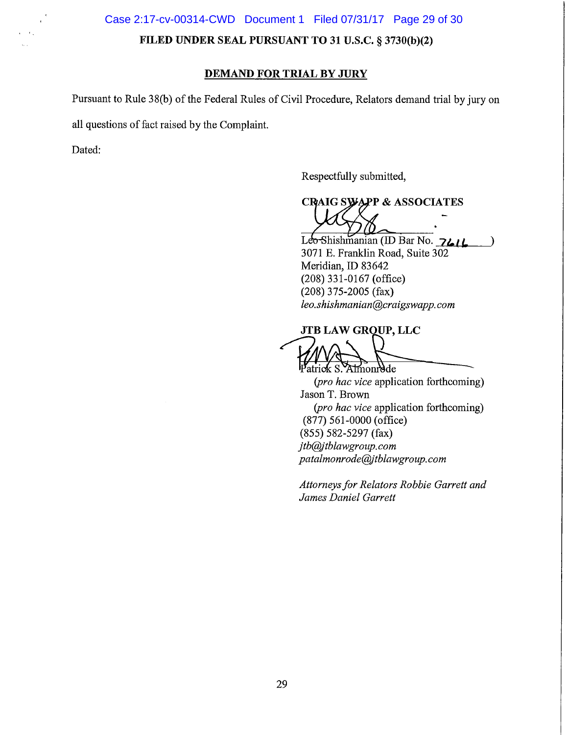Case 2:17-cv-00314-CWD Document 1 Filed 07/31/17 Page 29 of 30

FILED UNDER SEAL PURSUANT TO 31 U.S.C. § 3730(b)(2)

### **DEMAND FOR TRIAL BY JURY**

Pursuant to Rule 38(b) of the Federal Rules of Civil Procedure, Relators demand trial by jury on

all questions of fact raised by the Complaint.

Dated:

Respectfully submitted,

**CRAIG SWAPP & ASSOCIATES** 

Leo-Shishmanian (ID Bar No. 7414  $\lambda$ 3071 E. Franklin Road, Suite 302 Meridian, ID 83642  $(208)$  331-0167 (office)  $(208)$  375-2005 (fax) leo.shishmanian@craigswapp.com

JTB LAW GROUP, LLC Patrick S. Almondde

(pro hac vice application forthcoming) Jason T. Brown (pro hac vice application forthcoming)  $(877)$  561-0000 (office)  $(855) 582 - 5297$  (fax) jtb@jtblawgroup.com patalmonrode@jtblawgroup.com

Attorneys for Relators Robbie Garrett and James Daniel Garrett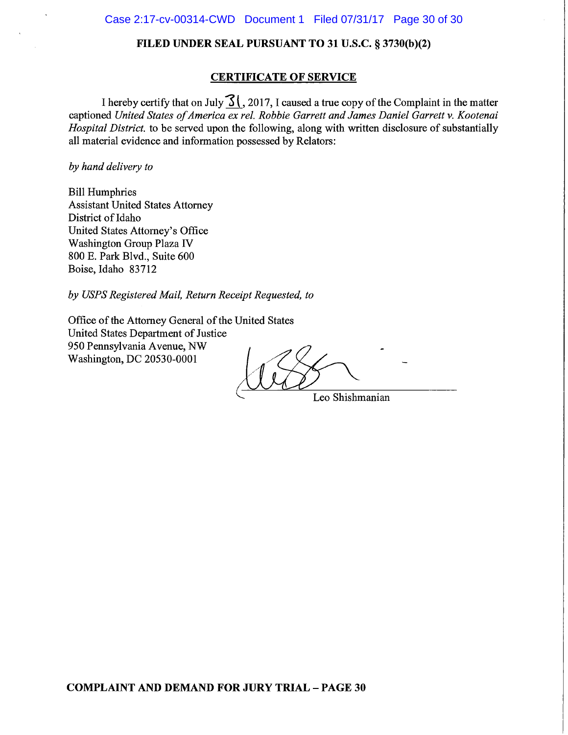## **CERTIFICATE OF SERVICE**

I hereby certify that on July  $\frac{31}{1}$ , 2017, I caused a true copy of the Complaint in the matter captioned United States of America ex rel. Robbie Garrett and James Daniel Garrett v. Kootenai *Hospital District*, to be served upon the following, along with written disclosure of substantially all material evidence and information possessed by Relators:

### by hand delivery to

**Bill Humphries Assistant United States Attorney** District of Idaho United States Attorney's Office Washington Group Plaza IV 800 E. Park Blvd., Suite 600 Boise, Idaho 83712

by USPS Registered Mail, Return Receipt Requested, to

Office of the Attorney General of the United States United States Department of Justice 950 Pennsylvania Avenue, NW Washington, DC 20530-0001

Leo Shishmanian

**COMPLAINT AND DEMAND FOR JURY TRIAL - PAGE 30**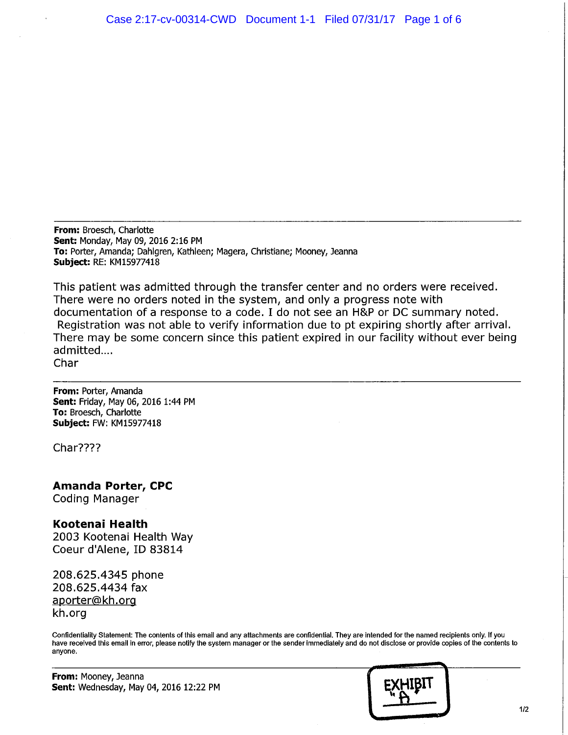From: Broesch, Charlotte Sent: Monday, May 09, 2016 2:16 PM To: Porter, Amanda; Dahlgren, Kathleen; Magera, Christiane; Mooney, Jeanna **Subject: RE: KM15977418** 

This patient was admitted through the transfer center and no orders were received. There were no orders noted in the system, and only a progress note with documentation of a response to a code. I do not see an H&P or DC summary noted. Registration was not able to verify information due to pt expiring shortly after arrival. There may be some concern since this patient expired in our facility without ever being admitted.... Char

From: Porter, Amanda Sent: Friday, May 06, 2016 1:44 PM To: Broesch, Charlotte Subject: FW: KM15977418

Char????

**Amanda Porter, CPC** 

**Coding Manager** 

# Kootenai Health

2003 Kootenai Health Way Coeur d'Alene, ID 83814

208.625.4345 phone 208.625.4434 fax aporter@kh.org kh.org

Confidentiality Statement: The contents of this email and any attachments are confidential. They are intended for the named recipients only. If you have received this email in error, please notify the system manager or the sender immediately and do not disclose or provide copies of the contents to anyone.

From: Mooney, Jeanna Sent: Wednesday, May 04, 2016 12:22 PM

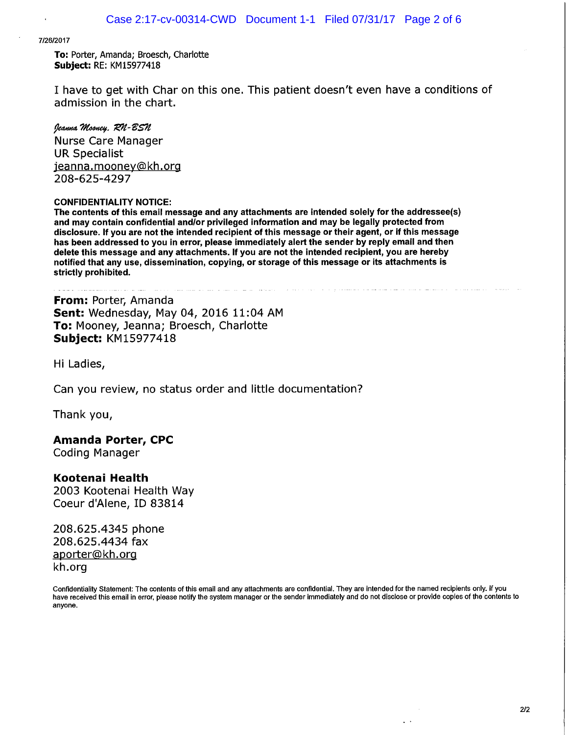#### 7/26/2017

To: Porter, Amanda; Broesch, Charlotte **Subject: RE: KM15977418** 

I have to get with Char on this one. This patient doesn't even have a conditions of admission in the chart.

#### Jeanna Mooney, RN-BSN

**Nurse Care Manager UR Specialist** jeanna.mooney@kh.org 208-625-4297

#### **CONFIDENTIALITY NOTICE:**

The contents of this email message and any attachments are intended solely for the addressee(s) and may contain confidential and/or privileged information and may be legally protected from disclosure. If you are not the intended recipient of this message or their agent, or if this message has been addressed to you in error, please immediately alert the sender by reply email and then delete this message and any attachments. If you are not the intended recipient, you are hereby notified that any use, dissemination, copying, or storage of this message or its attachments is strictly prohibited.

From: Porter, Amanda Sent: Wednesday, May 04, 2016 11:04 AM To: Mooney, Jeanna; Broesch, Charlotte **Subject: KM15977418** 

Hi Ladies,

Can you review, no status order and little documentation?

Thank you,

# **Amanda Porter, CPC**

**Coding Manager** 

# Kootenai Health

2003 Kootenai Health Way Coeur d'Alene, ID 83814

208.625.4345 phone 208.625.4434 fax aporter@kh.org kh.org

Confidentiality Statement: The contents of this email and any attachments are confidential. They are intended for the named recipients only. If you have received this email in error, please notify the system manager or the sender immediately and do not disclose or provide copies of the contents to anyone.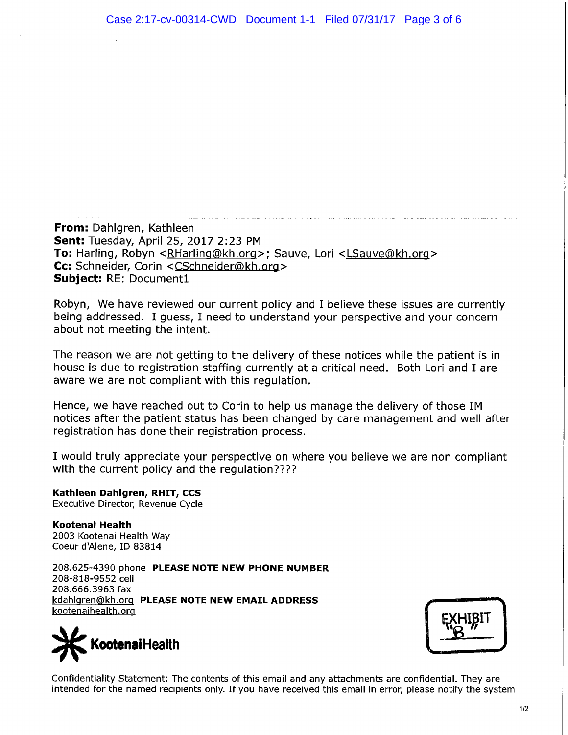**From:** Dahlgren, Kathleen Sent: Tuesday, April 25, 2017 2:23 PM To: Harling, Robyn < RHarling@kh.org>; Sauve, Lori < LSauve@kh.org> Cc: Schneider, Corin <CSchneider@kh.org> **Subject: RE: Document1** 

Robyn, We have reviewed our current policy and I believe these issues are currently being addressed. I guess, I need to understand your perspective and your concern about not meeting the intent.

The reason we are not getting to the delivery of these notices while the patient is in house is due to registration staffing currently at a critical need. Both Lori and I are aware we are not compliant with this regulation.

Hence, we have reached out to Corin to help us manage the delivery of those IM notices after the patient status has been changed by care management and well after registration has done their registration process.

I would truly appreciate your perspective on where you believe we are non compliant with the current policy and the regulation????

Kathleen Dahlgren, RHIT, CCS Executive Director, Revenue Cycle

Kootenai Health 2003 Kootenai Health Way Coeur d'Alene, ID 83814

208.625-4390 phone PLEASE NOTE NEW PHONE NUMBER 208-818-9552 cell 208.666.3963 fax kdahlgren@kh.org PLEASE NOTE NEW EMAIL ADDRESS kootenaihealth.org





Confidentiality Statement: The contents of this email and any attachments are confidential. They are intended for the named recipients only. If you have received this email in error, please notify the system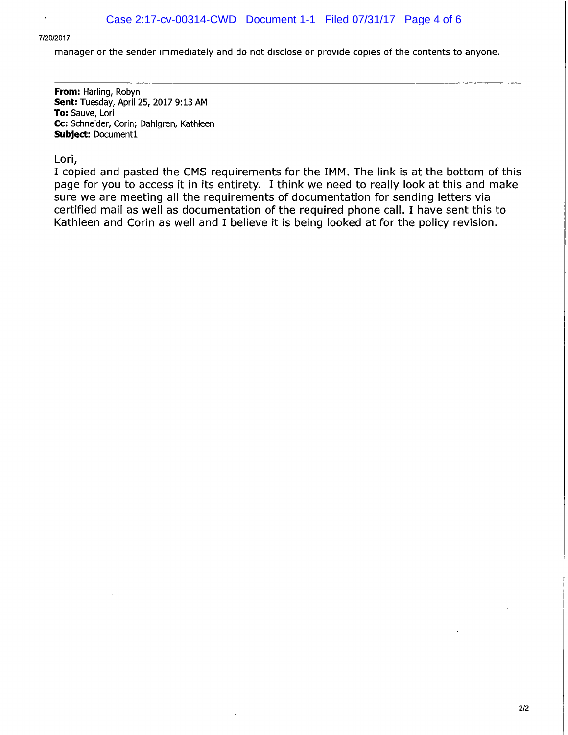#### 7/20/2017

### manager or the sender immediately and do not disclose or provide copies of the contents to anyone.

From: Harling, Robyn Sent: Tuesday, April 25, 2017 9:13 AM To: Sauve, Lori Cc: Schneider, Corin; Dahlgren, Kathleen Subject: Document1

#### Lori,

I copied and pasted the CMS requirements for the IMM. The link is at the bottom of this page for you to access it in its entirety. I think we need to really look at this and make sure we are meeting all the requirements of documentation for sending letters via certified mail as well as documentation of the required phone call. I have sent this to Kathleen and Corin as well and I believe it is being looked at for the policy revision.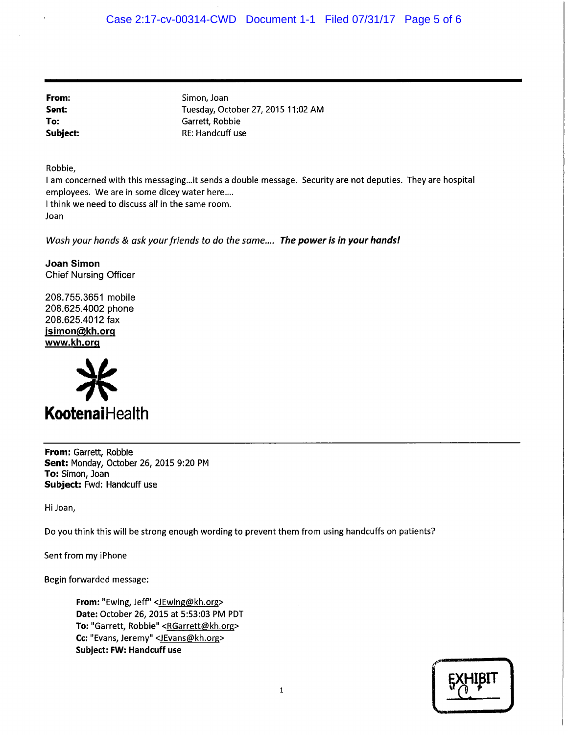From: Sent: To: Subject: Simon, Joan Tuesday, October 27, 2015 11:02 AM Garrett, Robbie RE: Handcuff use

Robbie,

I am concerned with this messaging...it sends a double message. Security are not deputies. They are hospital employees. We are in some dicey water here.... I think we need to discuss all in the same room.

Joan

Wash your hands & ask your friends to do the same.... The power is in your hands!

**Joan Simon Chief Nursing Officer** 

208.755.3651 mobile 208.625.4002 phone 208.625.4012 fax jsimon@kh.org www.kh.org



From: Garrett, Robbie Sent: Monday, October 26, 2015 9:20 PM To: Simon, Joan Subject: Fwd: Handcuff use

Hi Joan,

Do you think this will be strong enough wording to prevent them from using handcuffs on patients?

Sent from my iPhone

Begin forwarded message:

From: "Ewing, Jeff" <JEwing@kh.org> Date: October 26, 2015 at 5:53:03 PM PDT To: "Garrett, Robbie" <RGarrett@kh.org> Cc: "Evans, Jeremy" <JEvans@kh.org> **Subject: FW: Handcuff use**